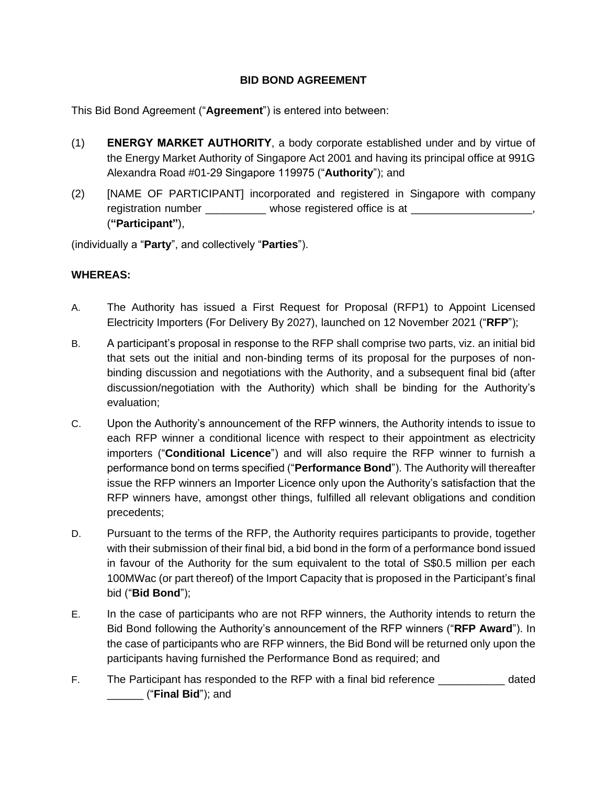# **BID BOND AGREEMENT**

This Bid Bond Agreement ("**Agreement**") is entered into between:

- (1) **ENERGY MARKET AUTHORITY**, a body corporate established under and by virtue of the Energy Market Authority of Singapore Act 2001 and having its principal office at 991G Alexandra Road #01-29 Singapore 119975 ("**Authority**"); and
- (2) [NAME OF PARTICIPANT] incorporated and registered in Singapore with company registration number example whose registered office is at zeros at zeros and the set of the set of the set of t (**"Participant"**),

(individually a "**Party**", and collectively "**Parties**").

### **WHEREAS:**

- A. The Authority has issued a First Request for Proposal (RFP1) to Appoint Licensed Electricity Importers (For Delivery By 2027), launched on 12 November 2021 ("**RFP**");
- B. A participant's proposal in response to the RFP shall comprise two parts, viz. an initial bid that sets out the initial and non-binding terms of its proposal for the purposes of nonbinding discussion and negotiations with the Authority, and a subsequent final bid (after discussion/negotiation with the Authority) which shall be binding for the Authority's evaluation;
- C. Upon the Authority's announcement of the RFP winners, the Authority intends to issue to each RFP winner a conditional licence with respect to their appointment as electricity importers ("**Conditional Licence**") and will also require the RFP winner to furnish a performance bond on terms specified ("**Performance Bond**"). The Authority will thereafter issue the RFP winners an Importer Licence only upon the Authority's satisfaction that the RFP winners have, amongst other things, fulfilled all relevant obligations and condition precedents;
- D. Pursuant to the terms of the RFP, the Authority requires participants to provide, together with their submission of their final bid, a bid bond in the form of a performance bond issued in favour of the Authority for the sum equivalent to the total of S\$0.5 million per each 100MWac (or part thereof) of the Import Capacity that is proposed in the Participant's final bid ("**Bid Bond**");
- E. In the case of participants who are not RFP winners, the Authority intends to return the Bid Bond following the Authority's announcement of the RFP winners ("**RFP Award**"). In the case of participants who are RFP winners, the Bid Bond will be returned only upon the participants having furnished the Performance Bond as required; and
- F. The Participant has responded to the RFP with a final bid reference entitled that each part of the RFP with a final bid reference \_\_\_\_\_\_ ("**Final Bid**"); and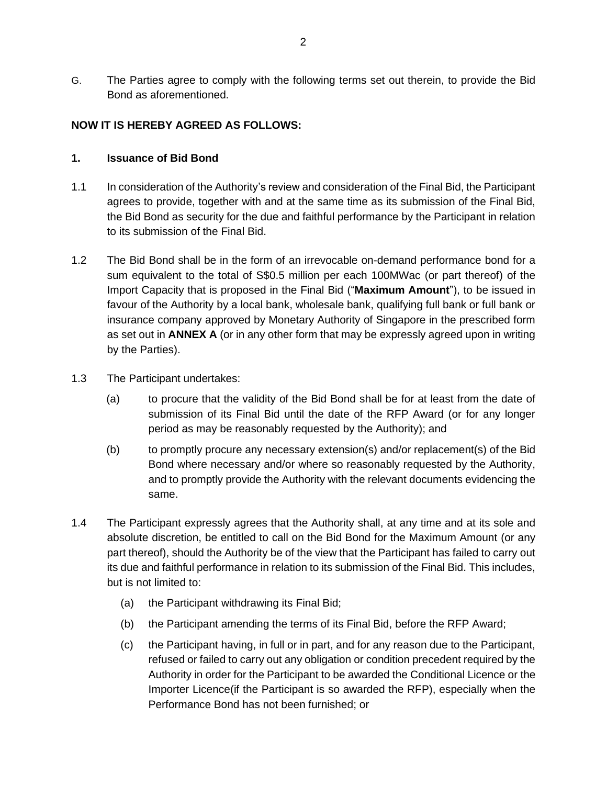G. The Parties agree to comply with the following terms set out therein, to provide the Bid Bond as aforementioned.

### **NOW IT IS HEREBY AGREED AS FOLLOWS:**

#### **1. Issuance of Bid Bond**

- 1.1 In consideration of the Authority's review and consideration of the Final Bid, the Participant agrees to provide, together with and at the same time as its submission of the Final Bid, the Bid Bond as security for the due and faithful performance by the Participant in relation to its submission of the Final Bid.
- 1.2 The Bid Bond shall be in the form of an irrevocable on-demand performance bond for a sum equivalent to the total of S\$0.5 million per each 100MWac (or part thereof) of the Import Capacity that is proposed in the Final Bid ("**Maximum Amount**"), to be issued in favour of the Authority by a local bank, wholesale bank, qualifying full bank or full bank or insurance company approved by Monetary Authority of Singapore in the prescribed form as set out in **ANNEX A** (or in any other form that may be expressly agreed upon in writing by the Parties).
- 1.3 The Participant undertakes:
	- (a) to procure that the validity of the Bid Bond shall be for at least from the date of submission of its Final Bid until the date of the RFP Award (or for any longer period as may be reasonably requested by the Authority); and
	- (b) to promptly procure any necessary extension(s) and/or replacement(s) of the Bid Bond where necessary and/or where so reasonably requested by the Authority, and to promptly provide the Authority with the relevant documents evidencing the same.
- 1.4 The Participant expressly agrees that the Authority shall, at any time and at its sole and absolute discretion, be entitled to call on the Bid Bond for the Maximum Amount (or any part thereof), should the Authority be of the view that the Participant has failed to carry out its due and faithful performance in relation to its submission of the Final Bid. This includes, but is not limited to:
	- (a) the Participant withdrawing its Final Bid;
	- (b) the Participant amending the terms of its Final Bid, before the RFP Award;
	- (c) the Participant having, in full or in part, and for any reason due to the Participant, refused or failed to carry out any obligation or condition precedent required by the Authority in order for the Participant to be awarded the Conditional Licence or the Importer Licence(if the Participant is so awarded the RFP), especially when the Performance Bond has not been furnished; or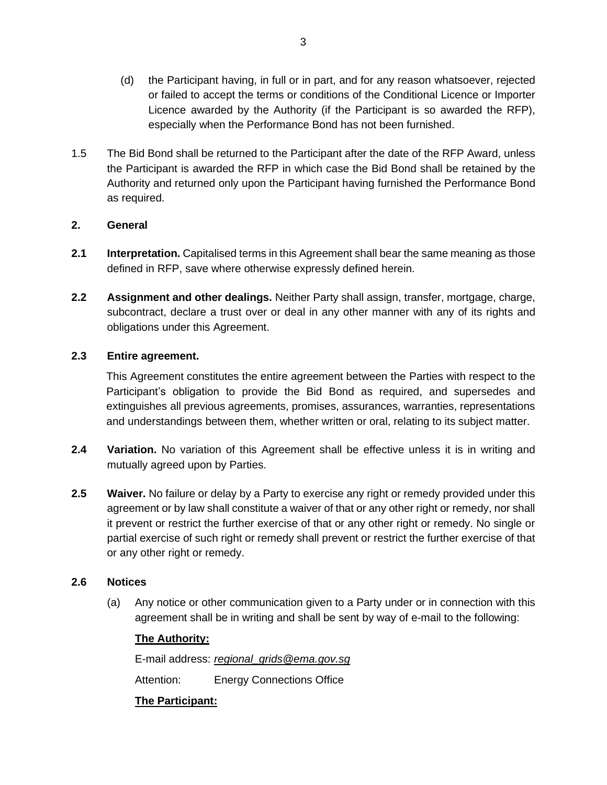- (d) the Participant having, in full or in part, and for any reason whatsoever, rejected or failed to accept the terms or conditions of the Conditional Licence or Importer Licence awarded by the Authority (if the Participant is so awarded the RFP), especially when the Performance Bond has not been furnished.
- 1.5 The Bid Bond shall be returned to the Participant after the date of the RFP Award, unless the Participant is awarded the RFP in which case the Bid Bond shall be retained by the Authority and returned only upon the Participant having furnished the Performance Bond as required.

### **2. General**

- **2.1 Interpretation.** Capitalised terms in this Agreement shall bear the same meaning as those defined in RFP, save where otherwise expressly defined herein.
- **2.2 Assignment and other dealings.** Neither Party shall assign, transfer, mortgage, charge, subcontract, declare a trust over or deal in any other manner with any of its rights and obligations under this Agreement.

# **2.3 Entire agreement.**

This Agreement constitutes the entire agreement between the Parties with respect to the Participant's obligation to provide the Bid Bond as required, and supersedes and extinguishes all previous agreements, promises, assurances, warranties, representations and understandings between them, whether written or oral, relating to its subject matter.

- **2.4 Variation.** No variation of this Agreement shall be effective unless it is in writing and mutually agreed upon by Parties.
- **2.5 Waiver.** No failure or delay by a Party to exercise any right or remedy provided under this agreement or by law shall constitute a waiver of that or any other right or remedy, nor shall it prevent or restrict the further exercise of that or any other right or remedy. No single or partial exercise of such right or remedy shall prevent or restrict the further exercise of that or any other right or remedy.

### **2.6 Notices**

(a) Any notice or other communication given to a Party under or in connection with this agreement shall be in writing and shall be sent by way of e-mail to the following:

### **The Authority:**

E-mail address: *[regional\\_grids@ema.gov.sg](mailto:regional_grids@ema.gov.sg)*

Attention: Energy Connections Office

**The Participant:**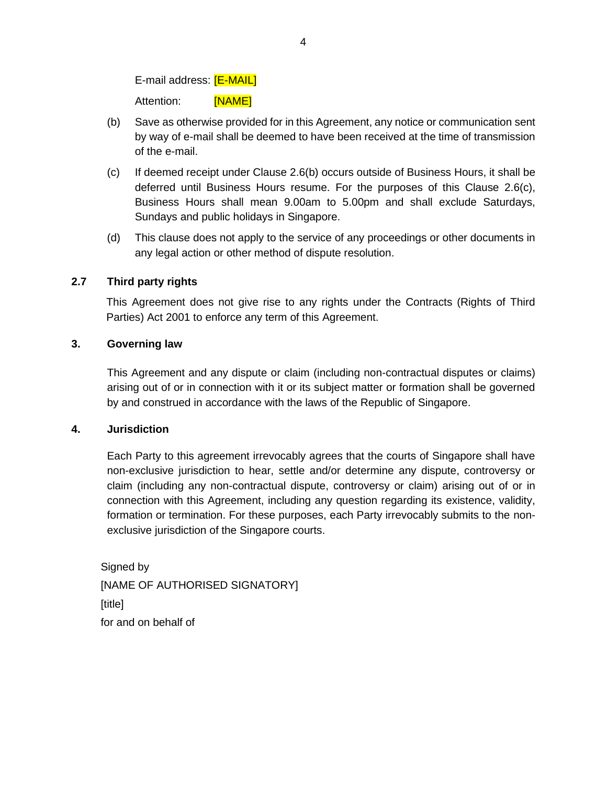E-mail address: **[E-MAIL]** 

Attention: [NAME]

- (b) Save as otherwise provided for in this Agreement, any notice or communication sent by way of e-mail shall be deemed to have been received at the time of transmission of the e-mail.
- (c) If deemed receipt under Clause 2.6(b) occurs outside of Business Hours, it shall be deferred until Business Hours resume. For the purposes of this Clause 2.6(c), Business Hours shall mean 9.00am to 5.00pm and shall exclude Saturdays, Sundays and public holidays in Singapore.
- (d) This clause does not apply to the service of any proceedings or other documents in any legal action or other method of dispute resolution.

# **2.7 Third party rights**

This Agreement does not give rise to any rights under the Contracts (Rights of Third Parties) Act 2001 to enforce any term of this Agreement.

### **3. Governing law**

This Agreement and any dispute or claim (including non-contractual disputes or claims) arising out of or in connection with it or its subject matter or formation shall be governed by and construed in accordance with the laws of the Republic of Singapore.

### **4. Jurisdiction**

Each Party to this agreement irrevocably agrees that the courts of Singapore shall have non-exclusive jurisdiction to hear, settle and/or determine any dispute, controversy or claim (including any non-contractual dispute, controversy or claim) arising out of or in connection with this Agreement, including any question regarding its existence, validity, formation or termination. For these purposes, each Party irrevocably submits to the nonexclusive jurisdiction of the Singapore courts.

Signed by [NAME OF AUTHORISED SIGNATORY] [title] for and on behalf of